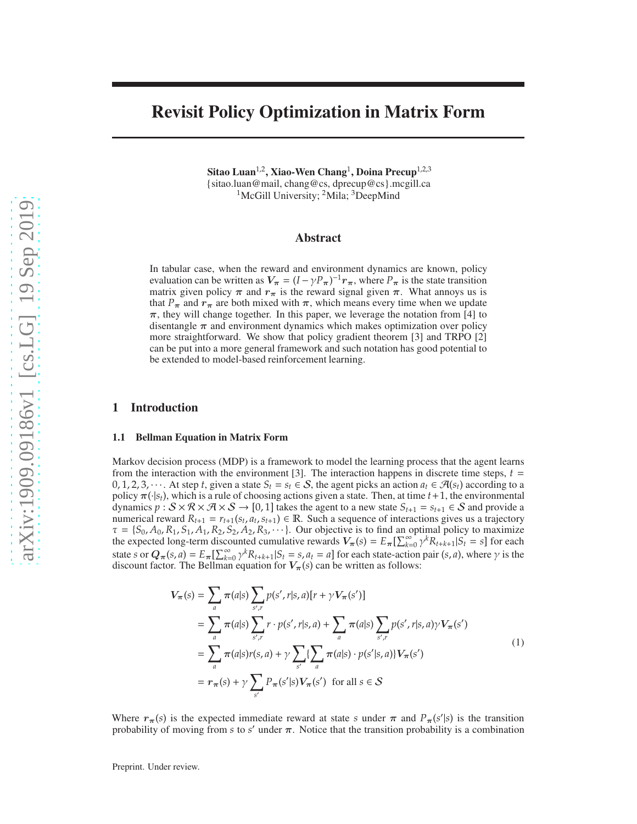# Revisit Policy Optimization in Matrix Form

Sitao Luan $^{1,2}$ , Xiao-Wen Chang $^{1}$ , Doina Precup $^{1,2,3}$ {sitao.luan@mail, chang@cs, dprecup@cs}.mcgill.ca <sup>1</sup>McGill University; <sup>2</sup>Mila; <sup>3</sup>DeepMind

#### Abstract

In tabular case, when the reward and environment dynamics are known, policy evaluation can be written as  $V_{\pi} = (I - \gamma P_{\pi})^{-1} r_{\pi}$ , where  $P_{\pi}$  is the state transition matrix given policy  $\pi$  and  $r_{\pi}$  is the reward signal given  $\pi$ . What annoys us is that  $P_{\pi}$  and  $r_{\pi}$  are both mixed with  $\pi$ , which means every time when we update  $\pi$ , they will change together. In this paper, we leverage the notation from [4] to disentangle  $\pi$  and environment dynamics which makes optimization over policy more straightforward. We show that policy gradient theorem [3] and TRPO [2] can be put into a more general framework and such notation has good potential to be extended to model-based reinforcement learning.

#### 1 Introduction

#### 1.1 Bellman Equation in Matrix Form

Markov decision process (MDP) is a framework to model the learning process that the agent learns from the interaction with the environment [3]. The interaction happens in discrete time steps,  $t =$ 0, 1, 2, 3,  $\cdots$ . At step *t*, given a state *S*<sub>*t*</sub> = *s*<sub>*t*</sub> ∈ *S*, the agent picks an action  $a_t$  ∈  $\mathcal{A}(s_t)$  according to a policy  $\pi(\cdot|s_t)$ , which is a rule of choosing actions given a state. Then, at time  $t+1$ , the environmental dynamics  $p : S \times R \times A \times S \to [0, 1]$  takes the agent to a new state  $S_{t+1} = S_{t+1} \in S$  and provide a numerical reward  $R_{t+1} = r_{t+1}(s_t, a_t, s_{t+1}) \in \mathbb{R}$ . Such a sequence of interactions gives us a trajectory  $\tau = \{S_0, A_0, R_1, S_1, A_1, R_2, S_2, A_2, R_3, \cdots\}$ . Our objective is to find an optimal policy to maximize the expected long-term discounted cumulative rewards  $V_\pi(s) = E_\pi[\sum_{k=0}^{\infty} \gamma^k R_{t+k+1} | S_t = s]$  for each state s or  $Q_{\pi}(s, a) = E_{\pi}[\sum_{k=0}^{\infty} \gamma^k R_{t+k+1} | S_t = s, a_t = a]$  for each state-action pair  $(s, a)$ , where  $\gamma$  is the discount factor. The Bellman equation for  $V_{\pi}(s)$  can be written as follows:

$$
V_{\pi}(s) = \sum_{a} \pi(a|s) \sum_{s',r} p(s',r|s,a)[r + \gamma V_{\pi}(s')]
$$
  
\n
$$
= \sum_{a} \pi(a|s) \sum_{s',r} r \cdot p(s',r|s,a) + \sum_{a} \pi(a|s) \sum_{s',r} p(s',r|s,a) \gamma V_{\pi}(s')
$$
  
\n
$$
= \sum_{a} \pi(a|s)r(s,a) + \gamma \sum_{s'} \{\sum_{a} \pi(a|s) \cdot p(s'|s,a) \} V_{\pi}(s')
$$
  
\n
$$
= r_{\pi}(s) + \gamma \sum_{s'} P_{\pi}(s'|s) V_{\pi}(s') \text{ for all } s \in S
$$
 (1)

Where  $r_{\pi}(s)$  is the expected immediate reward at state *s* under  $\pi$  and  $P_{\pi}(s'|s)$  is the transition probability of moving from *s* to *s'* under  $\pi$ . Notice that the transition probability is a combination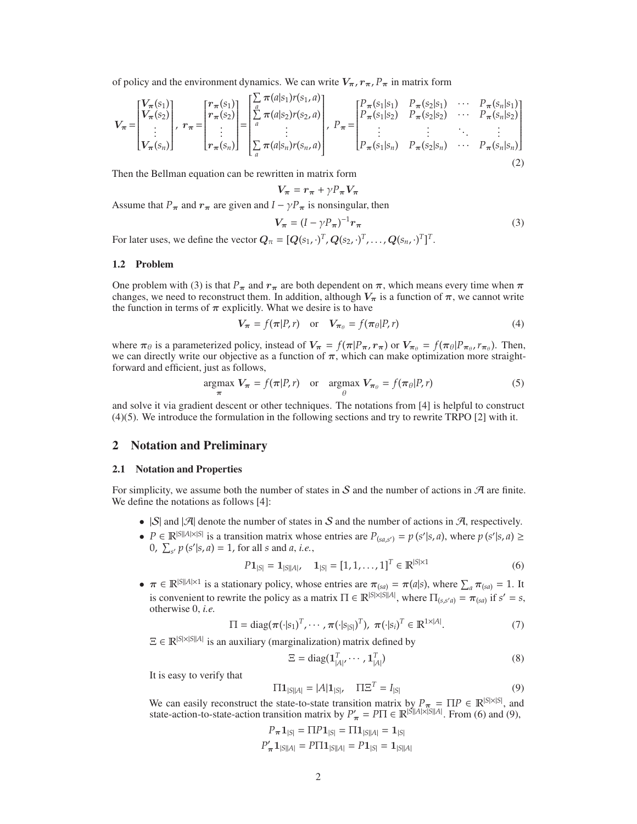of policy and the environment dynamics. We can write  $V_{\pi}, r_{\pi}, P_{\pi}$  in matrix form

$$
V_{\pi} = \begin{bmatrix} V_{\pi}(s_1) \\ V_{\pi}(s_2) \\ \vdots \\ V_{\pi}(s_n) \end{bmatrix}, r_{\pi} = \begin{bmatrix} r_{\pi}(s_1) \\ r_{\pi}(s_2) \\ \vdots \\ r_{\pi}(s_n) \end{bmatrix} = \begin{bmatrix} \sum_{a} \pi(a|s_1) r(s_1, a) \\ \sum_{a} \pi(a|s_2) r(s_2, a) \\ \vdots \\ \sum_{a} \pi(a|s_n) r(s_n, a) \end{bmatrix}, P_{\pi} = \begin{bmatrix} P_{\pi}(s_1|s_1) & P_{\pi}(s_2|s_1) & \cdots & P_{\pi}(s_n|s_1) \\ P_{\pi}(s_1|s_2) & P_{\pi}(s_2|s_2) & \cdots & P_{\pi}(s_n|s_2) \\ \vdots & \vdots & \ddots & \vdots \\ P_{\pi}(s_1|s_n) & P_{\pi}(s_2|s_n) & \cdots & P_{\pi}(s_n|s_n) \end{bmatrix}
$$
(2)

Then the Bellman equation can be rewritten in matrix form

$$
V_{\pi} = r_{\pi} + \gamma P_{\pi} V_{\pi}
$$

Assume that  $P_{\pi}$  and  $r_{\pi}$  are given and  $I - \gamma P_{\pi}$  is nonsingular, then

$$
V_{\pi} = (I - \gamma P_{\pi})^{-1} r_{\pi}
$$
\n
$$
I_{\text{C}} \left( \gamma \right) = \gamma \left( \gamma \right)^{\text{T}} \left( \gamma \right)^{\text{T}} \left( \gamma \right)
$$
\n
$$
I_{\text{C}} \left( \gamma \right) = \gamma \left( \gamma \right)^{\text{T}} \left( \gamma \right)
$$
\n
$$
\gamma \left( \gamma \right) = \gamma \left( \gamma \right)^{\text{T}} \left( \gamma \right)
$$
\n
$$
\gamma \left( \gamma \right) = \gamma \left( \gamma \right)^{\text{T}} \left( \gamma \right)
$$
\n
$$
\gamma \left( \gamma \right) = \gamma \left( \gamma \right)^{\text{T}} \left( \gamma \right)
$$
\n
$$
\gamma \left( \gamma \right) = \gamma \left( \gamma \right)^{\text{T}} \left( \gamma \right)
$$
\n
$$
\gamma \left( \gamma \right) = \gamma \left( \gamma \right)^{\text{T}} \left( \gamma \right)
$$
\n
$$
\gamma \left( \gamma \right) = \gamma \left( \gamma \right)^{\text{T}} \left( \gamma \right)
$$
\n
$$
\gamma \left( \gamma \right) = \gamma \left( \gamma \right)^{\text{T}} \left( \gamma \right)
$$
\n
$$
\gamma \left( \gamma \right) = \gamma \left( \gamma \right)^{\text{T}} \left( \gamma \right)
$$
\n
$$
\gamma \left( \gamma \right) = \gamma \left( \gamma \right)^{\text{T}} \left( \gamma \right)
$$
\n
$$
\gamma \left( \gamma \right) = \gamma \left( \gamma \right)^{\text{T}} \left( \gamma \right)
$$
\n
$$
\gamma \left( \gamma \right) = \gamma \left( \gamma \right)^{\text{T}} \left( \gamma \right)
$$
\n
$$
\gamma \left( \gamma \right) = \gamma \left( \gamma \right)^{\text{T}} \left( \gamma \right)
$$
\n
$$
\gamma \left( \gamma \right) = \gamma \left( \gamma \right)^{\text{T}} \left( \gamma \right)
$$
\n
$$
\gamma \left( \gamma \right) = \gamma \left( \gamma \right)^{\text{T}} \left( \gamma \right)
$$
\n
$$
\gamma \left( \gamma \right) = \gamma \left( \gamma \right)^{\text{T}} \left( \gamma \right)
$$
\n
$$
\gamma \left( \
$$

For later uses, we define the vector  $\mathbf{Q}_{\pi} = [Q(s_1, \cdot)^T, Q(s_2, \cdot)^T, \dots, Q(s_n, \cdot)^T]^T$ .

## 1.2 Problem

One problem with (3) is that  $P_{\pi}$  and  $r_{\pi}$  are both dependent on  $\pi$ , which means every time when  $\pi$ changes, we need to reconstruct them. In addition, although  $V_\pi$  is a function of  $\pi$ , we cannot write the function in terms of  $\pi$  explicitly. What we desire is to have

$$
V_{\pi} = f(\pi|P, r) \quad \text{or} \quad V_{\pi_{\theta}} = f(\pi_{\theta}|P, r) \tag{4}
$$

where  $\pi_{\theta}$  is a parameterized policy, instead of  $V_{\pi} = f(\pi | P_{\pi}, r_{\pi})$  or  $V_{\pi_{\theta}} = f(\pi_{\theta} | P_{\pi_{\theta}}, r_{\pi_{\theta}})$ . Then, we can directly write our objective as a function of  $\pi$ , which can make optimization more straightforward and efficient, just as follows,

$$
\underset{\pi}{\text{argmax}} \ V_{\pi} = f(\pi | P, r) \quad \text{or} \quad \underset{\theta}{\text{argmax}} \ V_{\pi_{\theta}} = f(\pi_{\theta} | P, r) \tag{5}
$$

and solve it via gradient descent or other techniques. The notations from [4] is helpful to construct (4)(5). We introduce the formulation in the following sections and try to rewrite TRPO [2] with it.

## 2 Notation and Preliminary

#### 2.1 Notation and Properties

For simplicity, we assume both the number of states in  $S$  and the number of actions in  $\mathcal A$  are finite. We define the notations as follows [4]:

- $|S|$  and  $|A|$  denote the number of states in S and the number of actions in A, respectively.
- $P \in \mathbb{R}^{|S||A|\times|S|}$  is a transition matrix whose entries are  $P_{(sa,s')} = p(s'|s,a)$ , where  $p(s'|s,a) \ge$ 0,  $\sum_{s'} p(s'|s, a) = 1$ , for all *s* and *a*, *i.e.*,

$$
P\mathbf{1}_{|S|} = \mathbf{1}_{|S||A|}, \quad \mathbf{1}_{|S|} = [1, 1, \dots, 1]^T \in \mathbb{R}^{|S| \times 1}
$$
(6)

•  $\pi \in \mathbb{R}^{|\mathcal{S}||\mathcal{A}|\times 1}$  is a stationary policy, whose entries are  $\pi_{(sa)} = \pi(a|s)$ , where  $\sum_a \pi_{(sa)} = 1$ . It is convenient to rewrite the policy as a matrix  $\Pi \in \mathbb{R}^{|S| \times |S||A|}$ , where  $\Pi_{(s,s'a)} = \pi_{(sa)}$  if  $s' = s$ , otherwise 0, *i.e.*

$$
\Pi = \text{diag}(\boldsymbol{\pi}(\cdot|s_1)^T, \cdots, \boldsymbol{\pi}(\cdot|s_{|S|})^T), \ \boldsymbol{\pi}(\cdot|s_i)^T \in \mathbb{R}^{1 \times |A|}.
$$
 (7)

 $\Xi \in \mathbb{R}^{|S| \times |S||A|}$  is an auxiliary (marginalization) matrix defined by

$$
\Xi = \text{diag}(\mathbf{1}_{|A|}^T, \cdots, \mathbf{1}_{|A|}^T) \tag{8}
$$

It is easy to verify that

$$
\Pi \mathbf{1}_{|S||A|} = |A| \mathbf{1}_{|S|}, \quad \Pi \Xi^T = I_{|S|}
$$
\n(9)

We can easily reconstruct the state-to-state transition matrix by  $P_{\pi} = \Pi P \in \mathbb{R}^{|S| \times |S|}$ , and state-action-to-state-action transition matrix by  $P'_\pi = P\Pi \in \mathbb{R}^{|\mathcal{S}||A|\times |\mathcal{S}||A|}$ . From (6) and (9),

$$
P_{\pi} \mathbf{1}_{|S|} = \Pi P \mathbf{1}_{|S|} = \Pi \mathbf{1}_{|S||A|} = \mathbf{1}_{|S|}
$$
  

$$
P'_{\pi} \mathbf{1}_{|S||A|} = P \Pi \mathbf{1}_{|S||A|} = P \mathbf{1}_{|S|} = \mathbf{1}_{|S||A|}
$$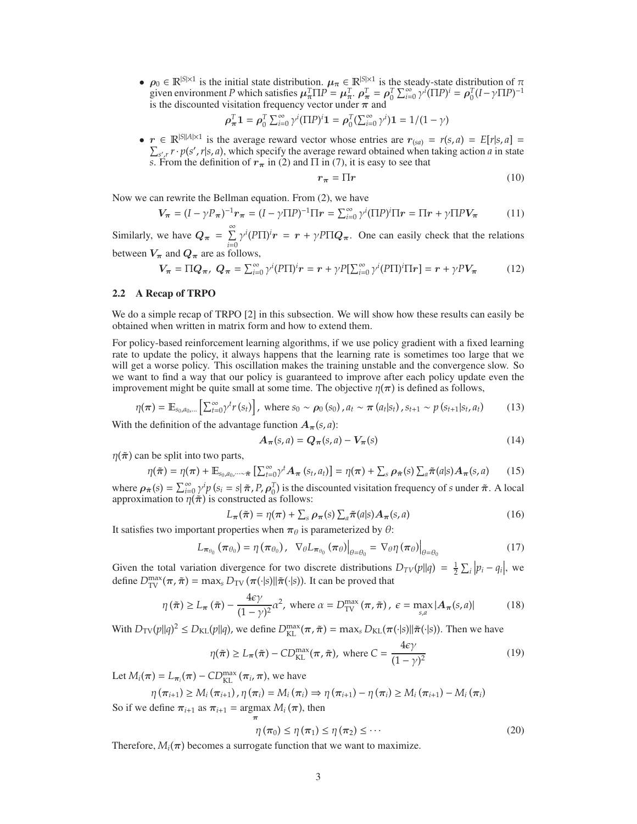•  $\rho_0 \in \mathbb{R}^{|S| \times 1}$  is the initial state distribution.  $\mu_\pi \in \mathbb{R}^{|S| \times 1}$  is the steady-state distribution of  $\pi$ given environment *P* which satisfies  $\mu_{\pi}^{T} \Pi P = \mu_{\pi}^{T}$ .  $\rho_{\pi}^{T} = \rho_{0}^{T} \sum_{i=0}^{\infty} \gamma^{i} (\Pi P)^{i} = \rho_{0}^{T} (I - \gamma \Pi P)^{-1}$ is the discounted visitation frequency vector under  $\pi$  and

$$
\boldsymbol{\rho}_{\boldsymbol{\pi}}^T \mathbf{1} = \boldsymbol{\rho}_0^T \sum_{i=0}^{\infty} \gamma^i (\Pi P)^i \mathbf{1} = \boldsymbol{\rho}_0^T (\sum_{i=0}^{\infty} \gamma^i) \mathbf{1} = 1/(1-\gamma)
$$

 $\bullet$   $r \in \mathbb{R}^{|\mathcal{S}||A|\times 1}$  $\Sigma$ is the average reward vector whose entries are  $r_{(sa)} = r(s, a) = E[r|s, a] =$  $S_{s',r}$   $r \cdot p(s', r|s, a)$ , which specify the average reward obtained when taking action *a* in state *s*. From the definition of  $r_{\pi}$  in (2) and  $\Pi$  in (7), it is easy to see that

$$
r_{\pi} = \Pi r \tag{10}
$$

Now we can rewrite the Bellman equation. From (2), we have

$$
V_{\pi} = (I - \gamma P_{\pi})^{-1} r_{\pi} = (I - \gamma \Pi P)^{-1} \Pi r = \sum_{i=0}^{\infty} \gamma^{i} (\Pi P)^{i} \Pi r = \Pi r + \gamma \Pi P V_{\pi}
$$
(11)

Similarly, we have  $Q_{\pi} = \sum_{n=1}^{\infty}$  $\sum_{i=0}^{n} \gamma^{i} (P\Pi)^{i} r = r + \gamma P \Pi Q_{\pi}$ . One can easily check that the relations between  $V_{\pi}$  and  $Q_{\pi}$  are as follows,

$$
V_{\pi} = \Pi Q_{\pi}, \ Q_{\pi} = \sum_{i=0}^{\infty} \gamma^{i} (P\Pi)^{i} r = r + \gamma P [\sum_{i=0}^{\infty} \gamma^{i} (P\Pi)^{i} \Pi r] = r + \gamma P V_{\pi}
$$
(12)

#### 2.2 A Recap of TRPO

We do a simple recap of TRPO [2] in this subsection. We will show how these results can easily be obtained when written in matrix form and how to extend them.

For policy-based reinforcement learning algorithms, if we use policy gradient with a fixed learning rate to update the policy, it always happens that the learning rate is sometimes too large that we will get a worse policy. This oscillation makes the training unstable and the convergence slow. So we want to find a way that our policy is guaranteed to improve after each policy update even the improvement might be quite small at some time. The objective  $\eta(\pi)$  is defined as follows,

$$
\eta(\boldsymbol{\pi}) = \mathbb{E}_{s_0, a_0, \dots} \left[ \sum_{t=0}^{\infty} \gamma^t r(s_t) \right], \text{ where } s_0 \sim \rho_0(s_0), a_t \sim \boldsymbol{\pi}(a_t|s_t), s_{t+1} \sim p(s_{t+1}|s_t, a_t) \tag{13}
$$

With the definition of the advantage function  $A_{\pi}(s, a)$ :

$$
A_{\pi}(s, a) = Q_{\pi}(s, a) - V_{\pi}(s)
$$
\n(14)

 $\eta(\tilde{\pi})$  can be split into two parts,

$$
\eta(\tilde{\pi}) = \eta(\pi) + \mathbb{E}_{s_0, a_0, \dots \sim \tilde{\pi}} \left[ \sum_{t=0}^{\infty} \gamma^t A_{\pi} \left( s_t, a_t \right) \right] = \eta(\pi) + \sum_{s} \rho_{\tilde{\pi}}(s) \sum_{a} \tilde{\pi}(a|s) A_{\pi}(s, a) \tag{15}
$$

where  $\rho_{\tilde{\pi}}(s) = \sum_{i=0}^{\infty} \gamma^i p(s_i = s | \tilde{\pi}, P, \rho_0^T)$  is the discounted visitation frequency of *s* under  $\tilde{\pi}$ . A local approximation to  $\eta(\tilde{\pi})$  is constructed as follows:

$$
L_{\pi}(\tilde{\pi}) = \eta(\pi) + \sum_{s} \rho_{\pi}(s) \sum_{a} \tilde{\pi}(a|s) A_{\pi}(s, a)
$$
 (16)

It satisfies two important properties when  $\pi_{\theta}$  is parameterized by  $\theta$ :

$$
L_{\boldsymbol{\pi}_{\theta_0}}\left(\boldsymbol{\pi}_{\theta_0}\right)=\eta\left(\boldsymbol{\pi}_{\theta_0}\right),\ \ \nabla_{\theta}L_{\boldsymbol{\pi}_{\theta_0}}\left(\boldsymbol{\pi}_{\theta}\right)\Big|_{\theta=\theta_0}=\left.\nabla_{\theta}\eta\left(\boldsymbol{\pi}_{\theta}\right)\right|_{\theta=\theta_0} \tag{17}
$$

Given the total variation divergence for two discrete distributions  $D_{TV}(p||q) = \frac{1}{2} \sum_i |p_i - q_i|$ , we define  $D_{\text{max}}(\tau, \tilde{z}) = \max_i D_{\text{max}}(p_i - q_i | \tilde{z}^{(n)}|)$ . It can be proved that define  $D_{\text{TV}}^{\text{max}}(\pi, \tilde{\pi}) = \max_{s} D_{\text{TV}}(\pi(\cdot|s)||\tilde{\pi}(\cdot|s))$ . It can be proved that

$$
\eta\left(\tilde{\pi}\right) \ge L_{\pi}\left(\tilde{\pi}\right) - \frac{4\varepsilon\gamma}{\left(1-\gamma\right)^2} \alpha^2, \text{ where } \alpha = D_{\text{TV}}^{\text{max}}\left(\pi, \tilde{\pi}\right), \ \varepsilon = \max_{s, a} |A_{\pi}(s, a)| \tag{18}
$$

With  $D_{TV}(p||q)^2 \leq D_{KL}(p||q)$ , we define  $D_{KL}^{\max}(\pi, \tilde{\pi}) = \max_{s} D_{KL}(\pi(\cdot|s)||\tilde{\pi}(\cdot|s))$ . Then we have

$$
\eta(\tilde{\pi}) \ge L_{\pi}(\tilde{\pi}) - CD_{\text{KL}}^{\text{max}}(\pi, \tilde{\pi}), \text{ where } C = \frac{4\epsilon\gamma}{(1 - \gamma)^2}
$$
(19)

Let  $M_i(\pi) = L_{\pi_i}(\pi) - CD_{\text{KL}}^{\text{max}}(\pi_i, \pi)$ , we have

$$
\eta\left(\pi_{i+1}\right) \geq M_i\left(\pi_{i+1}\right), \eta\left(\pi_i\right) = M_i\left(\pi_i\right) \Rightarrow \eta\left(\pi_{i+1}\right) - \eta\left(\pi_i\right) \geq M_i\left(\pi_{i+1}\right) - M_i\left(\pi_i\right)
$$

So if we define  $\pi_{i+1}$  as  $\pi_{i+1}$  = argmax  $M_i(\pi)$ , then

$$
\eta(\pi_0) \le \eta(\pi_1) \le \eta(\pi_2) \le \cdots \tag{20}
$$

Therefore,  $M_i(\pi)$  becomes a surrogate function that we want to maximize.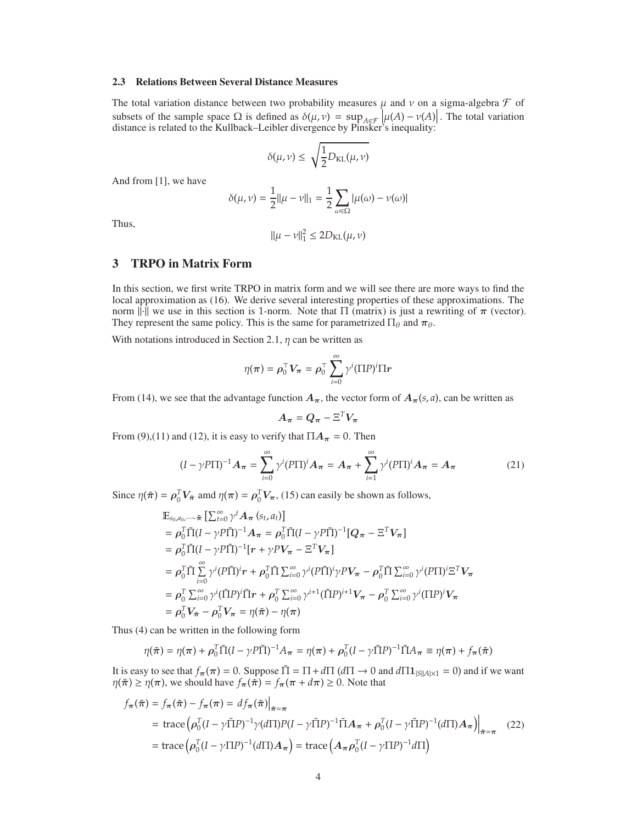#### 2.3 Relations Between Several Distance Measures

The total variation distance between two probability measures  $\mu$  and  $\nu$  on a sigma-algebra  $\mathcal F$  of subsets of the sample space  $\Omega$  is defined as  $\delta(\mu, \nu) = \sup_{A \in \mathcal{F}} |\mu(A) - \nu(A)|$ . The total variation distance is related to the Kullback–Leibler divergence by Pinsker's inequality:

$$
\delta(\mu,\nu)\leq \sqrt{\frac{1}{2}D_{\text{KL}}(\mu,\nu)}
$$

And from [1], we have

$$
\delta(\mu, \nu) = \frac{1}{2} ||\mu - \nu||_1 = \frac{1}{2} \sum_{\omega \in \Omega} |\mu(\omega) - \nu(\omega)|
$$

Thus,

$$
\|\mu - \nu\|_1^2 \le 2D_{\text{KL}}(\mu, \nu)
$$

## 3 TRPO in Matrix Form

In this section, we first write TRPO in matrix form and we will see there are more ways to find the local approximation as (16). We derive several interesting properties of these approximations. The norm ||·|| we use in this section is 1-norm. Note that  $\Pi$  (matrix) is just a rewriting of  $\pi$  (vector). They represent the same policy. This is the same for parametrized  $\Pi_{\theta}$  and  $\pi_{\theta}$ .

With notations introduced in Section 2.1,  $\eta$  can be written as

$$
\eta(\boldsymbol{\pi}) = \boldsymbol{\rho}_0^{\top} \boldsymbol{V}_{\boldsymbol{\pi}} = \boldsymbol{\rho}_0^{\top} \sum_{i=0}^{\infty} \gamma^i (\Pi P)^i \Pi \boldsymbol{r}
$$

From (14), we see that the advantage function  $A_{\pi}$ , the vector form of  $A_{\pi}(s, a)$ , can be written as

$$
\boldsymbol{A}_{\boldsymbol{\pi}} = \boldsymbol{Q}_{\boldsymbol{\pi}} - \boldsymbol{\Xi}^T \boldsymbol{V}_{\boldsymbol{\pi}}
$$

From (9),(11) and (12), it is easy to verify that  $\Pi A_\pi = 0$ . Then

$$
(I - \gamma P\Pi)^{-1} \mathbf{A}_{\boldsymbol{\pi}} = \sum_{i=0}^{\infty} \gamma^{i} (P\Pi)^{i} \mathbf{A}_{\boldsymbol{\pi}} = \mathbf{A}_{\boldsymbol{\pi}} + \sum_{i=1}^{\infty} \gamma^{i} (P\Pi)^{i} \mathbf{A}_{\boldsymbol{\pi}} = \mathbf{A}_{\boldsymbol{\pi}}
$$
(21)

Since  $\eta(\tilde{\pi}) = \rho_0^T V_{\tilde{\pi}}$  amd  $\eta(\pi) = \rho_0^T V_{\pi}$ , (15) can easily be shown as follows,

$$
\mathbb{E}_{s_0, a_0, \dots, \tilde{\pi}} \left[ \sum_{t=0}^{\infty} \gamma^t A_{\pi} (s_t, a_t) \right]
$$
\n
$$
= \rho_0^T \tilde{\Pi} (I - \gamma P \tilde{\Pi})^{-1} A_{\pi} = \rho_0^T \tilde{\Pi} (I - \gamma P \tilde{\Pi})^{-1} [Q_{\pi} - \Xi^T V_{\pi}]
$$
\n
$$
= \rho_0^T \tilde{\Pi} (I - \gamma P \tilde{\Pi})^{-1} [r + \gamma P V_{\pi} - \Xi^T V_{\pi}]
$$
\n
$$
= \rho_0^T \tilde{\Pi} \sum_{i=0}^{\infty} \gamma^i (P \tilde{\Pi})^i r + \rho_0^T \tilde{\Pi} \sum_{i=0}^{\infty} \gamma^i (P \tilde{\Pi})^i \gamma P V_{\pi} - \rho_0^T \tilde{\Pi} \sum_{i=0}^{\infty} \gamma^i (P \Pi)^i \Xi^T V_{\pi}
$$
\n
$$
= \rho_0^T \sum_{i=0}^{\infty} \gamma^i (\tilde{\Pi} P)^i \tilde{\Pi} r + \rho_0^T \sum_{i=0}^{\infty} \gamma^{i+1} (\tilde{\Pi} P)^{i+1} V_{\pi} - \rho_0^T \sum_{i=0}^{\infty} \gamma^i (\Pi P)^i V_{\pi}
$$
\n
$$
= \rho_0^T V_{\tilde{\pi}} - \rho_0^T V_{\pi} = \eta(\tilde{\pi}) - \eta(\pi)
$$

Thus (4) can be written in the following form

$$
\eta(\tilde{\boldsymbol{\pi}}) = \eta(\boldsymbol{\pi}) + \rho_0^T \tilde{\Pi} (I - \gamma P \tilde{\Pi})^{-1} A_{\boldsymbol{\pi}} = \eta(\boldsymbol{\pi}) + \rho_0^T (I - \gamma \tilde{\Pi} P)^{-1} \tilde{\Pi} A_{\boldsymbol{\pi}} \equiv \eta(\boldsymbol{\pi}) + f_{\boldsymbol{\pi}}(\tilde{\boldsymbol{\pi}})
$$

It is easy to see that  $f_{\pi}(\pi) = 0$ . Suppose  $\tilde{\Pi} = \Pi + d\Pi$  ( $d\Pi \to 0$  and  $d\Pi_1|_{S||A| \times 1} = 0$ ) and if we want  $\eta(\tilde{\pi}) \geq \eta(\pi)$ , we should have  $f_{\pi}(\tilde{\pi}) = f_{\pi}(\pi + d\pi) \geq 0$ . Note that

$$
f_{\pi}(\tilde{\pi}) = f_{\pi}(\tilde{\pi}) - f_{\pi}(\pi) = df_{\pi}(\tilde{\pi})\Big|_{\tilde{\pi} = \pi}
$$
  
= trace  $\left(\rho_0^T (I - \gamma \tilde{\Pi}P)^{-1} \gamma (d\Pi) P (I - \gamma \tilde{\Pi}P)^{-1} \tilde{\Pi} A_{\pi} + \rho_0^T (I - \gamma \tilde{\Pi}P)^{-1} (d\Pi) A_{\pi}\right)\Big|_{\tilde{\pi} = \pi}$  (22)  
= trace  $\left(\rho_0^T (I - \gamma \Pi P)^{-1} (d\Pi) A_{\pi}\right)$  = trace  $\left(A_{\pi} \rho_0^T (I - \gamma \Pi P)^{-1} d\Pi\right)$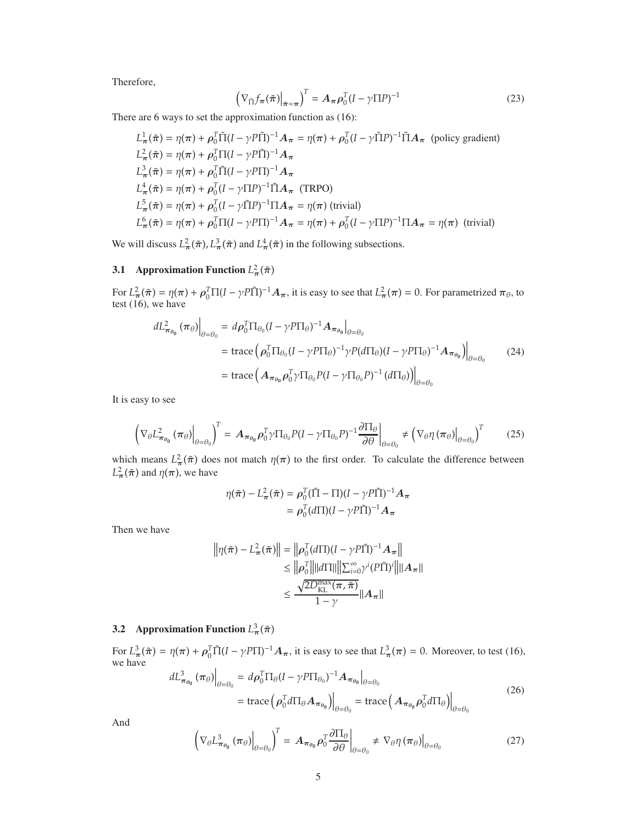Therefore,

$$
\left(\nabla_{\tilde{\Pi}} f_{\boldsymbol{\pi}}(\tilde{\boldsymbol{\pi}})\big|_{\tilde{\boldsymbol{\pi}}=\boldsymbol{\pi}}\right)^{T} = A_{\boldsymbol{\pi}} \rho_0^{T} (I - \gamma \Pi P)^{-1}
$$
\n(23)

There are 6 ways to set the approximation function as (16):

$$
L_{\pi}^1(\tilde{\pi}) = \eta(\pi) + \rho_0^T \tilde{\Pi} (I - \gamma P \tilde{\Pi})^{-1} A_{\pi} = \eta(\pi) + \rho_0^T (I - \gamma \tilde{\Pi} P)^{-1} \tilde{\Pi} A_{\pi}
$$
 (policy gradient)  
\n
$$
L_{\pi}^2(\tilde{\pi}) = \eta(\pi) + \rho_0^T \Pi (I - \gamma P \tilde{\Pi})^{-1} A_{\pi}
$$
  
\n
$$
L_{\pi}^3(\tilde{\pi}) = \eta(\pi) + \rho_0^T \tilde{\Pi} (I - \gamma P \Pi)^{-1} A_{\pi}
$$
  
\n
$$
L_{\pi}^4(\tilde{\pi}) = \eta(\pi) + \rho_0^T (I - \gamma \Pi P)^{-1} \tilde{\Pi} A_{\pi}
$$
 (TRPO)  
\n
$$
L_{\pi}^5(\tilde{\pi}) = \eta(\pi) + \rho_0^T (I - \gamma \tilde{\Pi} P)^{-1} \Pi A_{\pi} = \eta(\pi)
$$
 (trivial)  
\n
$$
L_{\pi}^6(\tilde{\pi}) = \eta(\pi) + \rho_0^T \Pi (I - \gamma P \Pi)^{-1} A_{\pi} = \eta(\pi) + \rho_0^T (I - \gamma \Pi P)^{-1} \Pi A_{\pi} = \eta(\pi)
$$
 (trivial)

We will discuss  $L^2_{\pi}(\tilde{\pi})$ ,  $L^3_{\pi}(\tilde{\pi})$  and  $L^4_{\pi}(\tilde{\pi})$  in the following subsections.

## **3.1** Approximation Function  $L^2_{\pi}(\tilde{\pi})$

For  $L^2_{\pi}(\tilde{\pi}) = \eta(\pi) + \rho_0^T \Pi (I - \gamma P \tilde{\Pi})^{-1} A_{\pi}$ , it is easy to see that  $L^2_{\pi}(\pi) = 0$ . For parametrized  $\pi_{\theta}$ , to test (16), we have

$$
dL_{\pi_{\theta_0}}^2(\pi_{\theta})\Big|_{\theta=\theta_0} = d\rho_0^T \Pi_{\theta_0} (I - \gamma P \Pi_{\theta})^{-1} A_{\pi_{\theta_0}}\Big|_{\theta=\theta_0}
$$
  
= trace  $\left(\rho_0^T \Pi_{\theta_0} (I - \gamma P \Pi_{\theta})^{-1} \gamma P (d\Pi_{\theta}) (I - \gamma P \Pi_{\theta})^{-1} A_{\pi_{\theta_0}}\right)\Big|_{\theta=\theta_0}$  (24)  
= trace  $\left(A_{\pi_{\theta_0}} \rho_0^T \gamma \Pi_{\theta_0} P (I - \gamma \Pi_{\theta_0} P)^{-1} (d\Pi_{\theta})\right)\Big|_{\theta=\theta_0}$ 

It is easy to see

$$
\left(\nabla_{\theta} L_{\boldsymbol{\pi}_{\theta_0}}^2 (\boldsymbol{\pi}_{\theta}) \Big|_{\theta = \theta_0}\right)^T = \boldsymbol{A}_{\boldsymbol{\pi}_{\theta_0}} \rho_0^T \gamma \Pi_{\theta_0} P (I - \gamma \Pi_{\theta_0} P)^{-1} \frac{\partial \Pi_{\theta}}{\partial \theta} \bigg|_{\theta = \theta_0} \neq \left(\nabla_{\theta} \eta (\boldsymbol{\pi}_{\theta}) \Big|_{\theta = \theta_0}\right)^T \tag{25}
$$

which means  $L^2_{\pi}(\tilde{\pi})$  does not match  $\eta(\pi)$  to the first order. To calculate the difference between  $L^2_{\pi}(\tilde{\pi})$  and  $\eta(\pi)$ , we have

$$
\eta(\tilde{\pi}) - L_{\pi}^{2}(\tilde{\pi}) = \rho_{0}^{T}(\tilde{\Pi} - \Pi)(I - \gamma P \tilde{\Pi})^{-1} A_{\pi}
$$

$$
= \rho_{0}^{T} (d\Pi)(I - \gamma P \tilde{\Pi})^{-1} A_{\pi}
$$

Then we have

$$
\left\| \eta(\tilde{\pi}) - L_{\pi}^{2}(\tilde{\pi}) \right\| = \left\| \rho_{0}^{T} (d\Pi)(I - \gamma P \tilde{\Pi})^{-1} A_{\pi} \right\|
$$
  
\n
$$
\leq \left\| \rho_{0}^{T} \right\| \|d\Pi\| \left\| \sum_{i=0}^{\infty} \gamma^{i} (P \tilde{\Pi})^{i} \right\| \|A_{\pi}\|
$$
  
\n
$$
\leq \frac{\sqrt{2D_{KL}^{\max}(\pi, \tilde{\pi})}}{1 - \gamma} \|A_{\pi}\|
$$

## **3.2** Approximation Function  $L^3_{\pi}(\tilde{\pi})$

For  $L^3_{\pi}(\tilde{\pi}) = \eta(\pi) + \rho_0^T \tilde{\Pi} (I - \gamma P \Pi)^{-1} A_{\pi}$ , it is easy to see that  $L^3_{\pi}(\pi) = 0$ . Moreover, to test (16), we have  $\left. dL_{\boldsymbol{\pi}_{\theta_0}}^3 \left( \boldsymbol{\pi}_{\theta} \right) \right|_{\theta = \theta_0} = d\rho_0^T \Pi_{\theta} (I - \gamma P \Pi_{\theta_0})^{-1} A_{\boldsymbol{\pi}_{\theta_0}} \Big|_{\theta = \theta_0}$ 

$$
= \operatorname{trace} \left( \rho_0^T d \Pi_\theta A_{\pi_{\theta_0}} \right) \Big|_{\theta = \theta_0} = \operatorname{trace} \left( A_{\pi_{\theta_0}} \rho_0^T d \Pi_\theta \right) \Big|_{\theta = \theta_0}
$$
(26)

And

$$
\left(\nabla_{\theta} L_{\boldsymbol{\pi}_{\theta_0}}^3(\boldsymbol{\pi}_{\theta})\Big|_{\theta=\theta_0}\right)^T = \left. A_{\boldsymbol{\pi}_{\theta_0}} \rho_0^T \frac{\partial \Pi_{\theta}}{\partial \theta}\right|_{\theta=\theta_0} \neq \left. \nabla_{\theta} \eta(\boldsymbol{\pi}_{\theta})\right|_{\theta=\theta_0}
$$
\n<sup>(27)</sup>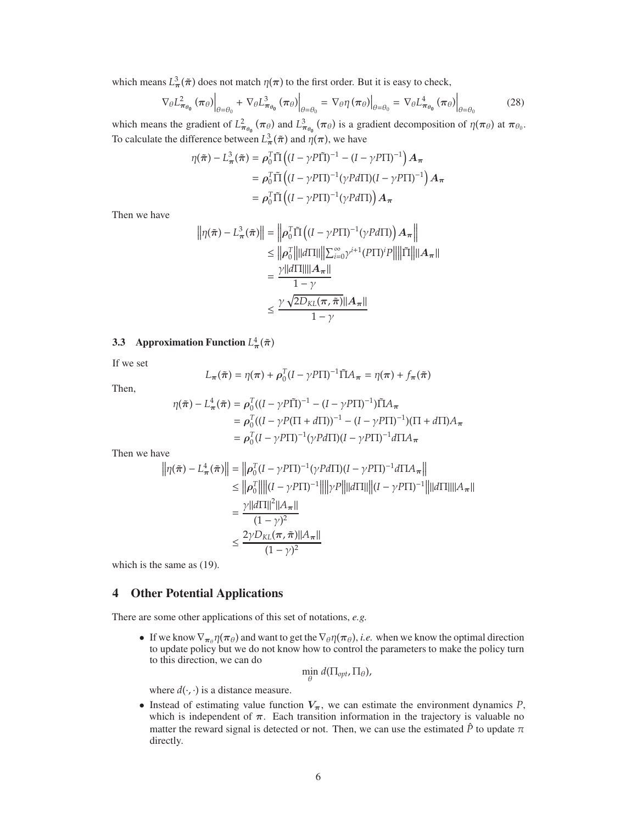which means  $L^3_{\pi}(\tilde{\pi})$  does not match  $\eta(\pi)$  to the first order. But it is easy to check,

$$
\nabla_{\theta} L^{2}_{\boldsymbol{\pi}_{\theta_{0}}} \left( \boldsymbol{\pi}_{\theta} \right) \Big|_{\theta = \theta_{0}} + \nabla_{\theta} L^{3}_{\boldsymbol{\pi}_{\theta_{0}}} \left( \boldsymbol{\pi}_{\theta} \right) \Big|_{\theta = \theta_{0}} = \nabla_{\theta} \eta \left( \boldsymbol{\pi}_{\theta} \right) \Big|_{\theta = \theta_{0}} = \nabla_{\theta} L^{4}_{\boldsymbol{\pi}_{\theta_{0}}} \left( \boldsymbol{\pi}_{\theta} \right) \Big|_{\theta = \theta_{0}} \tag{28}
$$

which means the gradient of  $L^2_{\pi_{\theta_0}}(\pi_\theta)$  and  $L^3_{\pi_{\theta_0}}(\pi_\theta)$  is a gradient decomposition of  $\eta(\pi_\theta)$  at  $\pi_{\theta_0}$ . To calculate the difference between  $L^3_{\pi}(\tilde{\pi})$  and  $\eta(\pi)$ , we have

$$
\eta(\tilde{\pi}) - L_{\pi}^{3}(\tilde{\pi}) = \rho_{0}^{T} \tilde{\Pi} \left( (I - \gamma P \tilde{\Pi})^{-1} - (I - \gamma P \Pi)^{-1} \right) A_{\pi}
$$

$$
= \rho_{0}^{T} \tilde{\Pi} \left( (I - \gamma P \Pi)^{-1} (\gamma P d \Pi) (I - \gamma P \Pi)^{-1} \right) A_{\pi}
$$

$$
= \rho_{0}^{T} \tilde{\Pi} \left( (I - \gamma P \Pi)^{-1} (\gamma P d \Pi) \right) A_{\pi}
$$

Then we have

$$
\|\eta(\tilde{\pi}) - L_{\pi}^{3}(\tilde{\pi})\| = \left\|\rho_{0}^{T}\tilde{\Pi}\left((I - \gamma P\Pi)^{-1}(\gamma P d\Pi)\right)A_{\pi}\right\|
$$
  
\n
$$
\leq \left\|\rho_{0}^{T}\right\| \|d\Pi\| \|\sum_{i=0}^{\infty} \gamma^{i+1} (P\Pi)^{i}P\| \|\tilde{\Pi}\| \|A_{\pi}\|
$$
  
\n
$$
= \frac{\gamma \|d\Pi\| \|A_{\pi}\|}{1 - \gamma}
$$
  
\n
$$
\leq \frac{\gamma \sqrt{2D_{KL}(\pi, \tilde{\pi})} \|A_{\pi}\|}{1 - \gamma}
$$

## **3.3** Approximation Function  $L^4_{\pi}(\tilde{\pi})$

If we set

$$
L_{\boldsymbol{\pi}}(\tilde{\boldsymbol{\pi}}) = \eta(\boldsymbol{\pi}) + \boldsymbol{\rho}_0^T (I - \gamma P \Pi)^{-1} \tilde{\Pi} A_{\boldsymbol{\pi}} = \eta(\boldsymbol{\pi}) + f_{\boldsymbol{\pi}}(\tilde{\boldsymbol{\pi}})
$$

Then,

$$
\eta(\tilde{\pi}) - L_{\pi}^{4}(\tilde{\pi}) = \rho_{0}^{T}((I - \gamma P \tilde{\Pi})^{-1} - (I - \gamma P \Pi)^{-1})\tilde{\Pi}A_{\pi}
$$
  
\n
$$
= \rho_{0}^{T}((I - \gamma P(\Pi + d\Pi))^{-1} - (I - \gamma P \Pi)^{-1})(\Pi + d\Pi)A_{\pi}
$$
  
\n
$$
= \rho_{0}^{T}(I - \gamma P \Pi)^{-1}(\gamma P d\Pi)(I - \gamma P \Pi)^{-1}d\Pi A_{\pi}
$$

Then we have

$$
\begin{aligned}\n\left\| \eta(\tilde{\pi}) - L_{\pi}^{4}(\tilde{\pi}) \right\| &= \left\| \rho_{0}^{T} (I - \gamma P \Pi)^{-1} (\gamma P d \Pi) (I - \gamma P \Pi)^{-1} d \Pi A_{\pi} \right\| \\
&\leq \left\| \rho_{0}^{T} \right\| \left\| (I - \gamma P \Pi)^{-1} \right\| \left\| \gamma P \right\| \| d \Pi \| \left\| (I - \gamma P \Pi)^{-1} \right\| \| d \Pi \| \| A_{\pi} \| \\
&= \frac{\gamma \| d \Pi \|^2 \| A_{\pi} \|}{(1 - \gamma)^2} \\
&\leq \frac{2 \gamma D_{KL}(\pi, \tilde{\pi}) \| A_{\pi} \|}{(1 - \gamma)^2}\n\end{aligned}
$$

which is the same as (19).

## 4 Other Potential Applications

There are some other applications of this set of notations, *e.g.*

• If we know  $\nabla_{\pi_\theta} \eta(\pi_\theta)$  and want to get the  $\nabla_\theta \eta(\pi_\theta)$ , *i.e.* when we know the optimal direction to update policy but we do not know how to control the parameters to make the policy turn to this direction, we can do

$$
\min_{\theta} d(\Pi_{opt}, \Pi_{\theta}),
$$

where  $d(\cdot, \cdot)$  is a distance measure.

• Instead of estimating value function  $V_\pi$ , we can estimate the environment dynamics *P*, which is independent of  $\pi$ . Each transition information in the trajectory is valuable no matter the reward signal is detected or not. Then, we can use the estimated  $\hat{P}$  to update  $\pi$ directly.